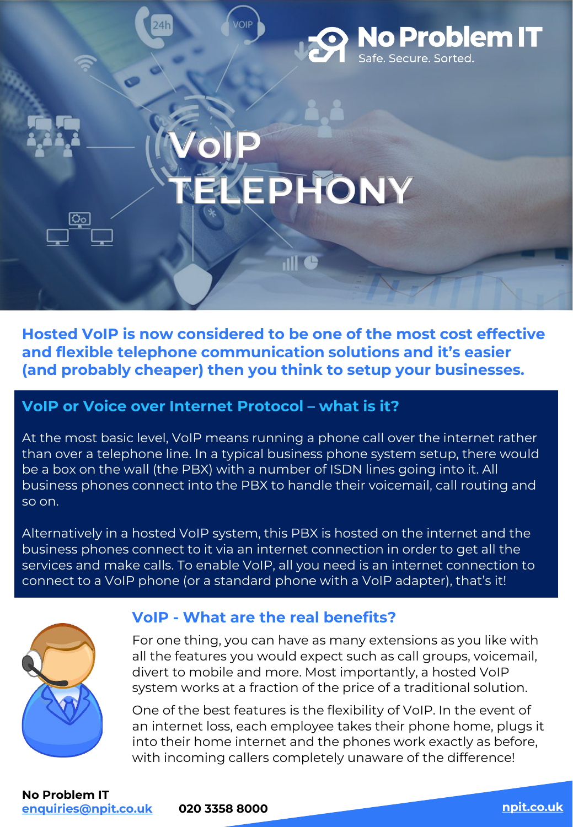

**Hosted VoIP is now considered to be one of the most cost effective and flexible telephone communication solutions and it's easier (and probably cheaper) then you think to setup your businesses.**

## **VoIP or Voice over Internet Protocol – what is it?**

At the most basic level, VoIP means running a phone call over the internet rather than over a telephone line. In a typical business phone system setup, there would be a box on the wall (the PBX) with a number of ISDN lines going into it. All business phones connect into the PBX to handle their voicemail, call routing and so on.

Alternatively in a hosted VoIP system, this PBX is hosted on the internet and the business phones connect to it via an internet connection in order to get all the services and make calls. To enable VoIP, all you need is an internet connection to connect to a VoIP phone (or a standard phone with a VoIP adapter), that's it!



### **VoIP - What are the real benefits?**

For one thing, you can have as many extensions as you like with all the features you would expect such as call groups, voicemail, divert to mobile and more. Most importantly, a hosted VoIP system works at a fraction of the price of a traditional solution.

One of the best features is the flexibility of VoIP. In the event of an internet loss, each employee takes their phone home, plugs it into their home internet and the phones work exactly as before, with incoming callers completely unaware of the difference!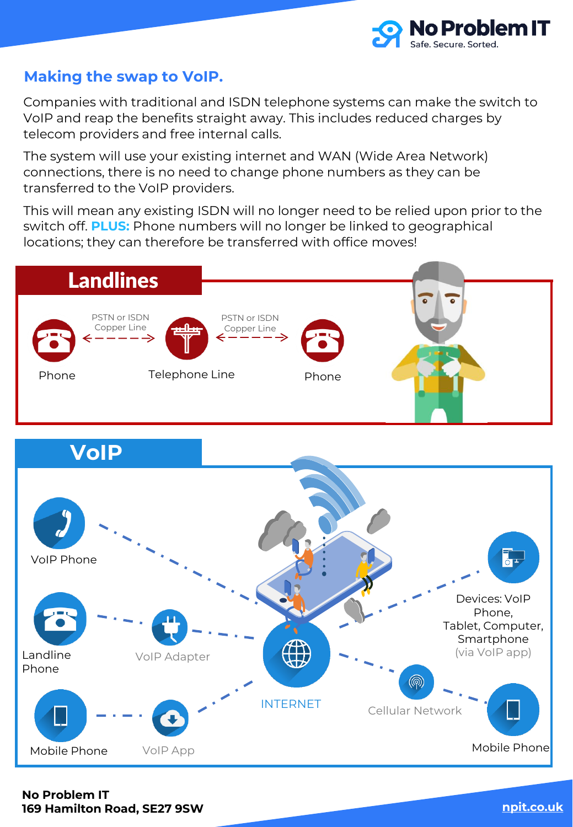

## **Making the swap to VoIP.**

Companies with traditional and ISDN telephone systems can make the switch to VoIP and reap the benefits straight away. This includes reduced charges by telecom providers and free internal calls.

The system will use your existing internet and WAN (Wide Area Network) connections, there is no need to change phone numbers as they can be transferred to the VoIP providers.

This will mean any existing ISDN will no longer need to be relied upon prior to the switch off. **PLUS:** Phone numbers will no longer be linked to geographical locations; they can therefore be transferred with office moves!





**No Problem IT 169 Hamilton Road, SE27 9SW [npit.co.uk](https://npit.co.uk/cyber-essentials-certification/)**